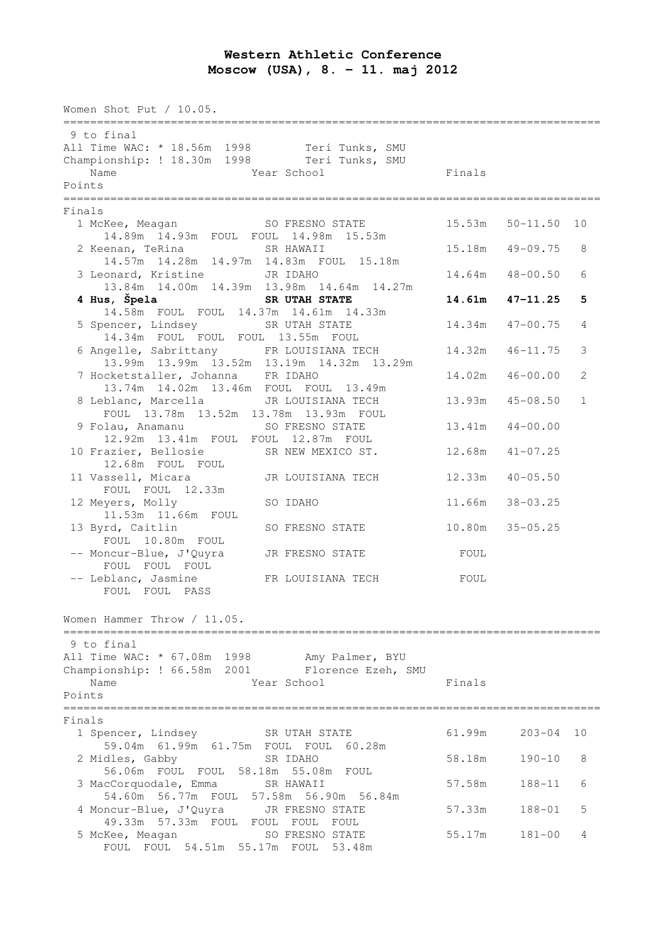## **Western Athletic Conference Moscow (USA), 8. – 11. maj 2012**

Women Shot Put / 10.05. ================================================================================ 9 to final All Time WAC: \* 18.56m 1998 Teri Tunks, SMU Championship: ! 18.30m 1998 Teri Tunks, SMU Name **The School Example 19** Year School **Finals** Points ================================================================================ Finals 1 McKee, Meagan SO FRESNO STATE 15.53m 50-11.50 10 14.89m 14.93m FOUL FOUL 14.98m 15.53m 2 Keenan, TeRina SR HAWAII 15.18m 49-09.75 8 14.57m 14.28m 14.97m 14.83m FOUL 15.18m 3 Leonard, Kristine JR IDAHO 14.64m 48-00.50 6 13.84m 14.00m 14.39m 13.98m 14.64m 14.27m  **4 Hus, Špela SR UTAH STATE 14.61m 47-11.25 5**  14.58m FOUL FOUL 14.37m 14.61m 14.33m 5 Spencer, Lindsey SR UTAH STATE 14.34m 47-00.75 4 14.34m FOUL FOUL FOUL 13.55m FOUL 6 Angelle, Sabrittany FR LOUISIANA TECH 14.32m 46-11.75 3 13.99m 13.99m 13.52m 13.19m 14.32m 13.29m 7 Hocketstaller, Johanna FR IDAHO 14.02m 46-00.00 2 ocketstaller, Jonanna Franchise 13.49m<br>13.74m 14.02m 13.46m FOUL FOUL 13.49m 8 Leblanc, Marcella JR LOUISIANA TECH 13.93m 45-08.50 1 eblanc, Marcella<br>FOUL 13.78m 13.52m 13.78m 13.93m FOUL 9 Folau, Anamanu SO FRESNO STATE 13.41m 44-00.00 12.92m 13.41m FOUL FOUL 12.87m FOUL 10 Frazier, Bellosie SR NEW MEXICO ST. 12.68m 41-07.25 12.68m FOUL FOUL 11 Vassell, Micara JR LOUISIANA TECH 12.33m 40-05.50 FOUL FOUL 12.33m 12 Meyers, Molly SO IDAHO 11.66m 38-03.25 11.53m 11.66m FOUL 13 Byrd, Caitlin SO FRESNO STATE 10.80m 35-05.25 FOUL 10.80m FOUL -- Moncur-Blue, J'Quyra JR FRESNO STATE FOUL FOUL FOUL FOUL -- Leblanc, Jasmine FR LOUISIANA TECH FOUL FOUL FOUL PASS Women Hammer Throw / 11.05. ================================================================================ 9 to final All Time WAC: \* 67.08m 1998 Amy Palmer, BYU Championship: ! 66.58m 2001 Florence Ezeh, SMU Name **Solution Contract School** Finals Points ================================================================================ Finals 1 Spencer, Lindsey SR UTAH STATE 61.99m 203-04 10 59.04m 61.99m 61.75m FOUL FOUL 60.28m 2 Midles, Gabby SR IDAHO 58.18m 190-10 8 56.06m FOUL FOUL 58.18m 55.08m FOUL 3 MacCorquodale, Emma SR HAWAII 57.58m 188-11 6 54.60m 56.77m FOUL 57.58m 56.90m 56.84m 4 Moncur-Blue, J'Quyra JR FRESNO STATE 57.33m 188-01 5 49.33m 57.33m FOUL FOUL FOUL FOUL 5 McKee, Meagan SO FRESNO STATE 55.17m 181-00 4 FOUL FOUL 54.51m 55.17m FOUL 53.48m